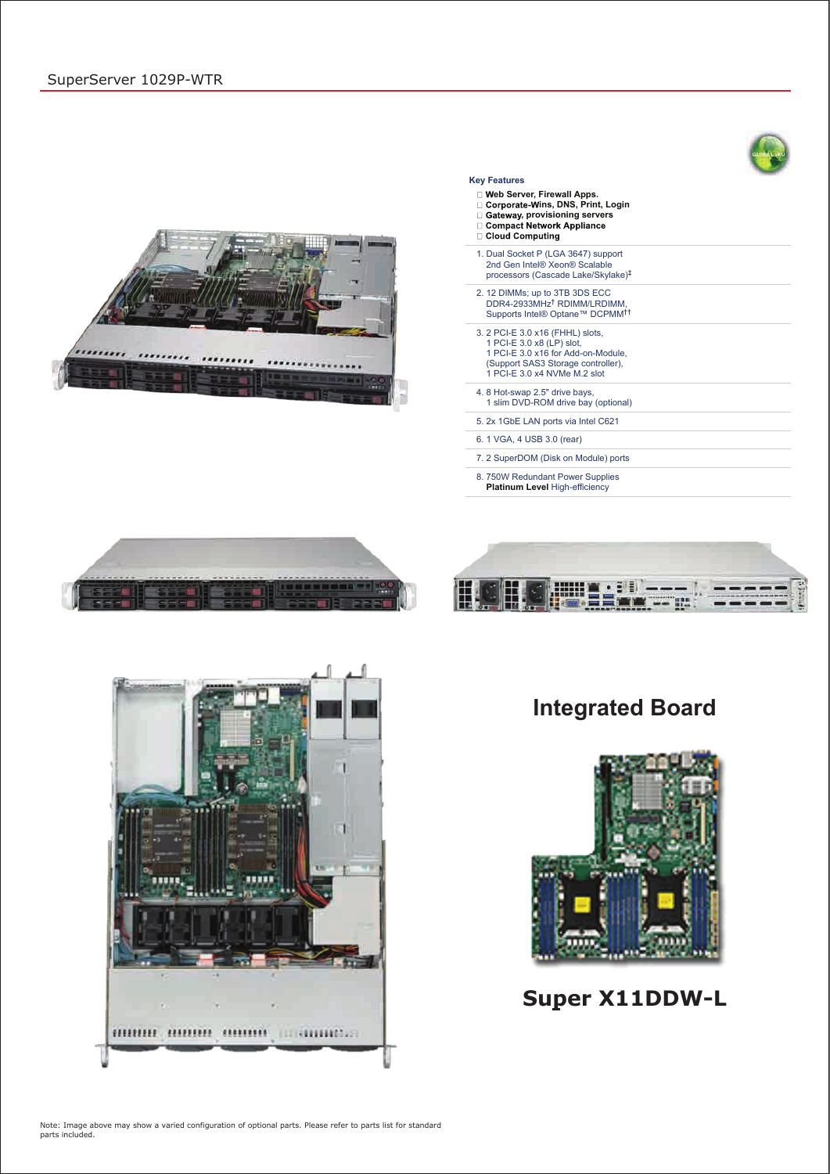# **Integrated Board**





## **Super X11DDW-L**

Note: Image above may show a varied configuration of optional parts. Please refer to parts list for standard parts included.

### **Key Features**

- **eb Server, Firewall Apps.**
- □ Corporate-Wins, DNS, Print, Login
- □ Gateway, provisioning servers<br>□ Gateway, provisioning servers<br>□ Compact Network Appliance
- □ Cloud Computing
- 
- 1. Dual Socket P (LGA 3647) support 2nd Gen Intel® Xeon® Scalable processors (Cascade Lake/Skylake) ‡ 2. 12 DIMMs; up to 3TB 3DS ECC DDR4-2933MHz<sup>†</sup> RDIMM/LRDIMM, Supports Intel® Optane™ DCPMM †† 3. 2 PCI-E 3.0 x16 (FHHL) slots, 1 PCI-E 3.0 x8 (LP) slot, 1 PCI-E 3.0 x16 for Add-on-Module,
- (Support SAS3 Storage controller), 1 PCI-E 3.0 x4 NVMe M.2 slot 4. 8 Hot-swap 2.5" drive bays,
- 1 slim DVD-ROM drive bay (optional)

5. 2x 1GbE LAN ports via Intel C621

6. 1 VGA, 4 USB 3.0 (rear)

7. 2 SuperDOM (Disk on Module) ports

8. 750W Redundant Power Supplies **Platinum Level** High-efficiency







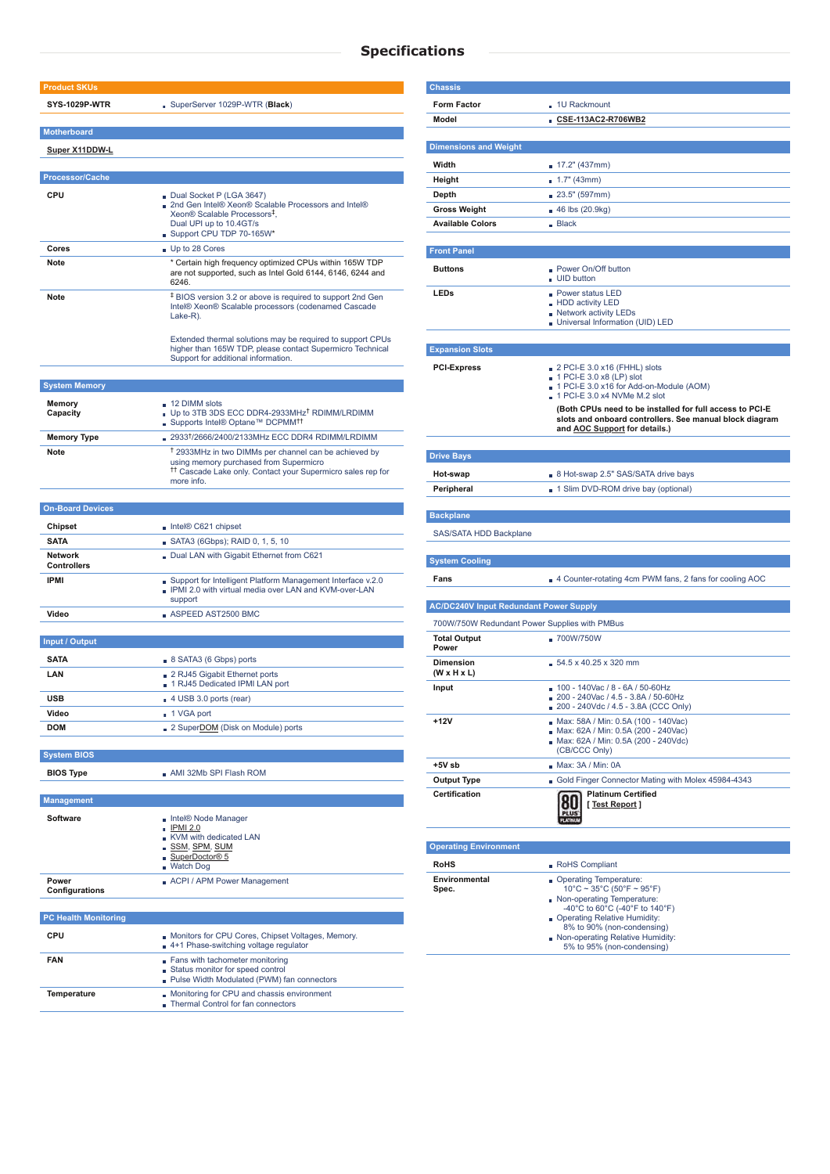## **Specifications**

| <b>Product SKUs</b>                  |                                                                                                                                                                                                    |
|--------------------------------------|----------------------------------------------------------------------------------------------------------------------------------------------------------------------------------------------------|
|                                      |                                                                                                                                                                                                    |
| <b>SYS-1029P-WTR</b>                 | SuperServer 1029P-WTR (Black)                                                                                                                                                                      |
| <b>Motherboard</b>                   |                                                                                                                                                                                                    |
| <b>Super X11DDW-L</b>                |                                                                                                                                                                                                    |
|                                      |                                                                                                                                                                                                    |
| <b>Processor/Cache</b>               |                                                                                                                                                                                                    |
| <b>CPU</b>                           | Dual Socket P (LGA 3647)                                                                                                                                                                           |
|                                      | 2nd Gen Intel® Xeon® Scalable Processors and Intel®<br>Xeon® Scalable Processors <sup>‡</sup> .                                                                                                    |
|                                      | Dual UPI up to 10.4GT/s                                                                                                                                                                            |
|                                      | Support CPU TDP 70-165W*                                                                                                                                                                           |
| Cores                                | Up to 28 Cores                                                                                                                                                                                     |
| Note                                 | * Certain high frequency optimized CPUs within 165W TDP<br>are not supported, such as Intel Gold 6144, 6146, 6244 and<br>6246.                                                                     |
| <b>Note</b>                          | <sup>‡</sup> BIOS version 3.2 or above is required to support 2nd Gen<br>Intel® Xeon® Scalable processors (codenamed Cascade<br>Lake-R).                                                           |
|                                      | Extended thermal solutions may be required to support CPUs<br>higher than 165W TDP, please contact Supermicro Technical<br>Support for additional information.                                     |
|                                      |                                                                                                                                                                                                    |
| <b>System Memory</b>                 |                                                                                                                                                                                                    |
| <b>Memory</b>                        | $\Box$ 12 DIMM slots<br>Up to 3TB 3DS ECC DDR4-2933MHz <sup>†</sup> RDIMM/LRDIMM                                                                                                                   |
| Capacity                             | ■ Supports Intel® Optane™ DCPMM <sup>††</sup>                                                                                                                                                      |
| <b>Memory Type</b>                   | ■ 2933 <sup>†</sup> /2666/2400/2133MHz ECC DDR4 RDIMM/LRDIMM                                                                                                                                       |
| Note                                 | <sup>†</sup> 2933MHz in two DIMMs per channel can be achieved by<br>using memory purchased from Supermicro<br><sup>11</sup> Cascade Lake only. Contact your Supermicro sales rep for<br>more info. |
|                                      |                                                                                                                                                                                                    |
| <b>On-Board Devices</b>              |                                                                                                                                                                                                    |
| <b>Chipset</b>                       | Intel® C621 chipset                                                                                                                                                                                |
| <b>SATA</b>                          | SATA3 (6Gbps); RAID 0, 1, 5, 10                                                                                                                                                                    |
| <b>Network</b><br><b>Controllers</b> | Dual LAN with Gigabit Ethernet from C621                                                                                                                                                           |
| <b>IPMI</b>                          | Support for Intelligent Platform Management Interface v.2.0<br><b>PMI 2.0 with virtual media over LAN and KVM-over-LAN</b><br>support                                                              |
| Video                                | $\blacksquare$ ASPEED AST2500 BMC                                                                                                                                                                  |
|                                      |                                                                                                                                                                                                    |
| <b>Input / Output</b>                |                                                                                                                                                                                                    |
| <b>SATA</b>                          | $8$ SATA3 (6 Gbps) ports                                                                                                                                                                           |
| <b>LAN</b>                           | 2 RJ45 Gigabit Ethernet ports                                                                                                                                                                      |
|                                      | 1 RJ45 Dedicated IPMI LAN port                                                                                                                                                                     |
| <b>USB</b><br>Video                  | 4 USB 3.0 ports (rear)                                                                                                                                                                             |
| <b>DOM</b>                           | ■ 1 VGA port<br>2 Super <b>DOM</b> (Disk on Module) ports                                                                                                                                          |
|                                      |                                                                                                                                                                                                    |
| <b>System BIOS</b>                   |                                                                                                                                                                                                    |
| <b>BIOS Type</b>                     | $\blacksquare$ AMI 32Mb SPI Flash ROM                                                                                                                                                              |
|                                      |                                                                                                                                                                                                    |
| <b>Management</b>                    |                                                                                                                                                                                                    |
| Software                             | Intel® Node Manager<br><b>IPMI 2.0</b><br>■ KVM with dedicated LAN<br><u>SSM, SPM, SUM</u>                                                                                                         |
|                                      | SuperDoctor <sup>®</sup> 5<br><b>Watch Dog</b>                                                                                                                                                     |

**Power**

### **Configurations**

ACPI / APM Power Management

**PC Health Monitoring**

| <b>CPU</b>  | Monitors for CPU Cores, Chipset Voltages, Memory.<br>4+1 Phase-switching voltage regulator                            |
|-------------|-----------------------------------------------------------------------------------------------------------------------|
| <b>FAN</b>  | ■ Fans with tachometer monitoring<br>Status monitor for speed control<br>■ Pulse Width Modulated (PWM) fan connectors |
| Temperature | Monitoring for CPU and chassis environment<br>Thermal Control for fan connectors                                      |

| <b>Chassis</b>                                |                                                                                                                     |
|-----------------------------------------------|---------------------------------------------------------------------------------------------------------------------|
| <b>Form Factor</b>                            | - 1U Rackmount                                                                                                      |
| <b>Model</b>                                  | CSE-113AC2-R706WB2                                                                                                  |
|                                               |                                                                                                                     |
| <b>Dimensions and Weight</b>                  |                                                                                                                     |
| Width                                         | $17.2$ " (437mm)                                                                                                    |
| Height                                        | 1.7" (43mm)                                                                                                         |
| <b>Depth</b>                                  | 23.5" (597mm)                                                                                                       |
| <b>Gross Weight</b>                           | $\blacksquare$ 46 lbs (20.9kg)                                                                                      |
| <b>Available Colors</b>                       | $\blacksquare$ Black                                                                                                |
| <b>Front Panel</b>                            |                                                                                                                     |
|                                               |                                                                                                                     |
| <b>Buttons</b>                                | <b>Power On/Off button</b><br><b>UID</b> button                                                                     |
| <b>LEDs</b>                                   | <b>Power status LED</b>                                                                                             |
|                                               | - HDD activity LED<br><b>Network activity LEDs</b>                                                                  |
|                                               | Universal Information (UID) LED                                                                                     |
|                                               |                                                                                                                     |
| <b>Expansion Slots</b>                        |                                                                                                                     |
| <b>PCI-Express</b>                            | $\Box$ 2 PCI-E 3.0 x16 (FHHL) slots                                                                                 |
|                                               | $\blacksquare$ 1 PCI-E 3.0 x8 (LP) slot<br>1 PCI-E 3.0 x16 for Add-on-Module (AOM)                                  |
|                                               | $\blacksquare$ 1 PCI-E 3.0 x4 NVMe M.2 slot                                                                         |
|                                               | (Both CPUs need to be installed for full access to PCI-E<br>slots and onboard controllers. See manual block diagram |
|                                               | and <b>AOC</b> Support for details.)                                                                                |
|                                               |                                                                                                                     |
| <b>Drive Bays</b>                             |                                                                                                                     |
| Hot-swap                                      | 8 Hot-swap 2.5" SAS/SATA drive bays                                                                                 |
| Peripheral                                    | 1 Slim DVD-ROM drive bay (optional)                                                                                 |
|                                               |                                                                                                                     |
| <b>Backplane</b>                              |                                                                                                                     |
| SAS/SATA HDD Backplane                        |                                                                                                                     |
|                                               |                                                                                                                     |
| <b>System Cooling</b>                         |                                                                                                                     |
| Fans                                          | 4 Counter-rotating 4cm PWM fans, 2 fans for cooling AOC                                                             |
| <b>AC/DC240V Input Redundant Power Supply</b> |                                                                                                                     |
|                                               |                                                                                                                     |
| 700W/750W Redundant Power Supplies with PMBus |                                                                                                                     |
| <b>Total Output</b><br><b>Power</b>           | <b>700W/750W</b>                                                                                                    |
| <b>Dimension</b><br>$(W \times H \times L)$   | $54.5 \times 40.25 \times 320$ mm                                                                                   |
| Input                                         | $100 - 140$ Vac / 8 - 6A / 50-60Hz                                                                                  |
|                                               | 200 - 240Vac / 4.5 - 3.8A / 50-60Hz<br>200 - 240Vdc / 4.5 - 3.8A (CCC Only)                                         |
| +12V                                          | Max: 58A / Min: 0.5A (100 - 140Vac)                                                                                 |
|                                               | Max: 62A / Min: 0.5A (200 - 240Vac)<br>Max: 62A / Min: 0.5A (200 - 240Vdc)                                          |
|                                               | (CB/CCC Only)                                                                                                       |
| +5V sb                                        | Max: 3A / Min: 0A                                                                                                   |
| <b>Output Type</b>                            | Gold Finger Connector Mating with Molex 45984-4343                                                                  |
|                                               |                                                                                                                     |
| <b>Certification</b>                          | <b>Platinum Certified</b>                                                                                           |
|                                               | [Test Report]                                                                                                       |
|                                               |                                                                                                                     |

**Environmental**

RoHS Rohers **Rohers** Rohers Rohers Rohers Rohers Rohers Rohers Rohers Rohers Rohers Rohers Rohers Rohers Rohers Rohers Rohers Rohers Rohers Rohers Rohers Rohers Rohers Rohers Rohers Rohers Rohers Rohers Rohers Rohers Roher

### **Spec.**

### 10°C ~ 35°C (50°F ~ 95°F) Non-operating Temperature: -40°C to 60°C (-40°F to 140°F) Operating Relative Humidity: 8% to 90% (non-condensing) Non-operating Relative Humidity: 5% to 95% (non-condensing)

Operating Temperature: